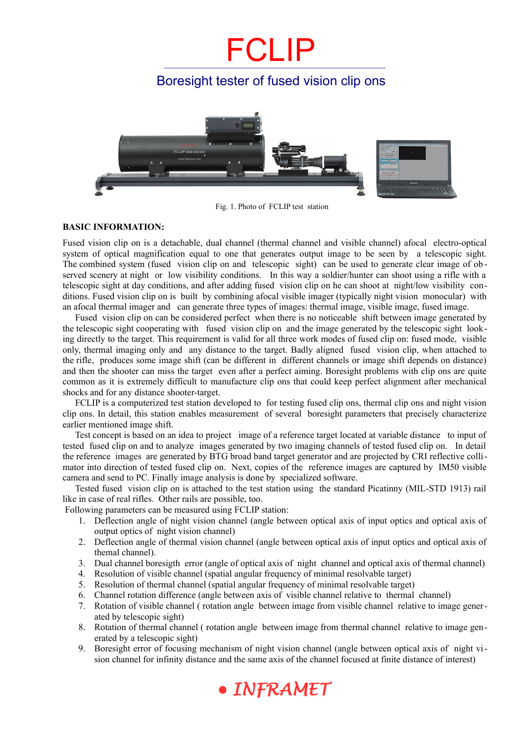## FCLIP

### Boresight tester of fused vision clip ons



Fig. 1. Photo of FCLIP test station

#### **BASIC INFORMATION:**

Fused vision clip on is a detachable, dual channel (thermal channel and visible channel) afocal electro-optical system of optical magnification equal to one that generates output image to be seen by a telescopic sight. The combined system (fused vision clip on and telescopic sight) can be used to generate clear image of ob served scenery at night or low visibility conditions. In this way a soldier/hunter can shoot using a rifle with a telescopic sight at day conditions, and after adding fused vision clip on he can shoot at night/low visibility conditions. Fused vision clip on is built by combining afocal visible imager (typically night vision monocular) with an afocal thermal imager and can generate three types of images: thermal image, visible image, fused image.

Fused vision clip on can be considered perfect when there is no noticeable shift between image generated by the telescopic sight cooperating with fused vision clip on and the image generated by the telescopic sight looking directly to the target. This requirement is valid for all three work modes of fused clip on: fused mode, visible only, thermal imaging only and any distance to the target. Badly aligned fused vision clip, when attached to the rifle, produces some image shift (can be different in different channels or image shift depends on distance) and then the shooter can miss the target even after a perfect aiming. Boresight problems with clip ons are quite common as it is extremely difficult to manufacture clip ons that could keep perfect alignment after mechanical shocks and for any distance shooter-target.

FCLIP is a computerized test station developed to for testing fused clip ons, thermal clip ons and night vision clip ons. In detail, this station enables measurement of several boresight parameters that precisely characterize earlier mentioned image shift.

Test concept is based on an idea to project image of a reference target located at variable distance to input of tested fused clip on and to analyze images generated by two imaging channels of tested fused clip on. In detail the reference images are generated by BTG broad band target generator and are projected by CRI reflective collimator into direction of tested fused clip on. Next, copies of the reference images are captured by IM50 visible camera and send to PC. Finally image analysis is done by specialized software.

Tested fused vision clip on is attached to the test station using the standard Picatinny (MIL-STD 1913) rail like in case of real rifles. Other rails are possible, too.

Following parameters can be measured using FCLIP station:

- 1. Deflection angle of night vision channel (angle between optical axis of input optics and optical axis of output optics of night vision channel)
- 2. Deflection angle of thermal vision channel (angle between optical axis of input optics and optical axis of themal channel).
- 3. Dual channel boresigth error (angle of optical axis of night channel and optical axis of thermal channel)
- 4. Resolution of visible channel (spatial angular frequency of minimal resolvable target)
- 5. Resolution of thermal channel (spatial angular frequency of minimal resolvable target)
- 6. Channel rotation difference (angle between axis of visible channel relative to thermal channel)
- 7. Rotation of visible channel ( rotation angle between image from visible channel relative to image generated by telescopic sight)
- 8. Rotation of thermal channel ( rotation angle between image from thermal channel relative to image generated by a telescopic sight)
- 9. Boresight error of focusing mechanism of night vision channel (angle between optical axis of night vision channel for infinity distance and the same axis of the channel focused at finite distance of interest)

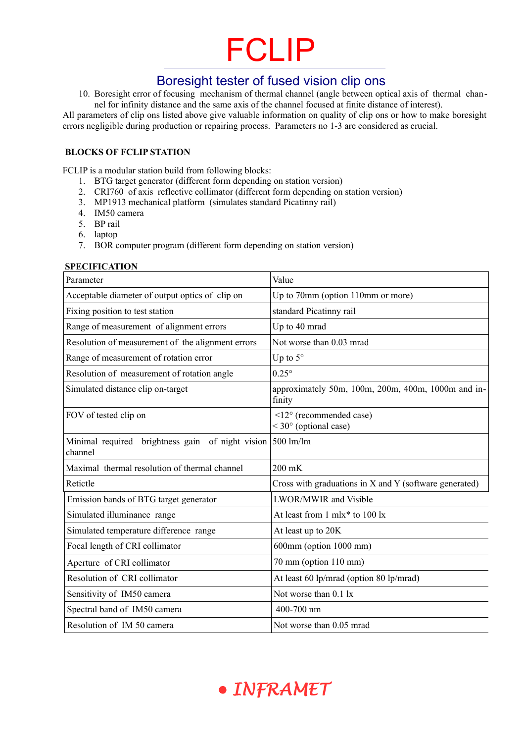## FCLIP

### Boresight tester of fused vision clip ons

10. Boresight error of focusing mechanism of thermal channel (angle between optical axis of thermal channel for infinity distance and the same axis of the channel focused at finite distance of interest).

All parameters of clip ons listed above give valuable information on quality of clip ons or how to make boresight errors negligible during production or repairing process. Parameters no 1-3 are considered as crucial.

#### **BLOCKS OF FCLIP STATION**

FCLIP is a modular station build from following blocks:

- 1. BTG target generator (different form depending on station version)
- 2. CRI760 of axis reflective collimator (different form depending on station version)
- 3. MP1913 mechanical platform (simulates standard Picatinny rail)
- 4. IM50 camera
- 5. BP rail
- 6. laptop
- 7. BOR computer program (different form depending on station version)

#### **SPECIFICATION**

| Parameter                                                                          | Value                                                                    |
|------------------------------------------------------------------------------------|--------------------------------------------------------------------------|
| Acceptable diameter of output optics of clip on                                    | Up to 70mm (option 110mm or more)                                        |
| Fixing position to test station                                                    | standard Picatinny rail                                                  |
| Range of measurement of alignment errors                                           | Up to 40 mrad                                                            |
| Resolution of measurement of the alignment errors                                  | Not worse than 0.03 mrad                                                 |
| Range of measurement of rotation error                                             | Up to $5^\circ$                                                          |
| Resolution of measurement of rotation angle                                        | $0.25^{\circ}$                                                           |
| Simulated distance clip on-target                                                  | approximately 50m, 100m, 200m, 400m, 1000m and in-<br>finity             |
| FOV of tested clip on                                                              | $\leq$ 12 $\circ$ (recommended case)<br>$<$ 30 $\degree$ (optional case) |
| brightness gain of night vision $500 \text{ lm/lm}$<br>Minimal required<br>channel |                                                                          |
| Maximal thermal resolution of thermal channel                                      | 200 mK                                                                   |
| Retictle                                                                           | Cross with graduations in X and Y (software generated)                   |
| Emission bands of BTG target generator                                             | <b>LWOR/MWIR</b> and Visible                                             |
| Simulated illuminance range                                                        | At least from 1 mlx* to 100 lx                                           |
| Simulated temperature difference range                                             | At least up to 20K                                                       |
| Focal length of CRI collimator                                                     | $600mm$ (option $1000mm$ )                                               |
| Aperture of CRI collimator                                                         | $70 \text{ mm}$ (option $110 \text{ mm}$ )                               |
| Resolution of CRI collimator                                                       | At least 60 lp/mrad (option 80 lp/mrad)                                  |
| Sensitivity of IM50 camera                                                         | Not worse than $0.1 \text{ lx}$                                          |
| Spectral band of IM50 camera                                                       | 400-700 nm                                                               |
| Resolution of IM 50 camera                                                         | Not worse than 0.05 mrad                                                 |